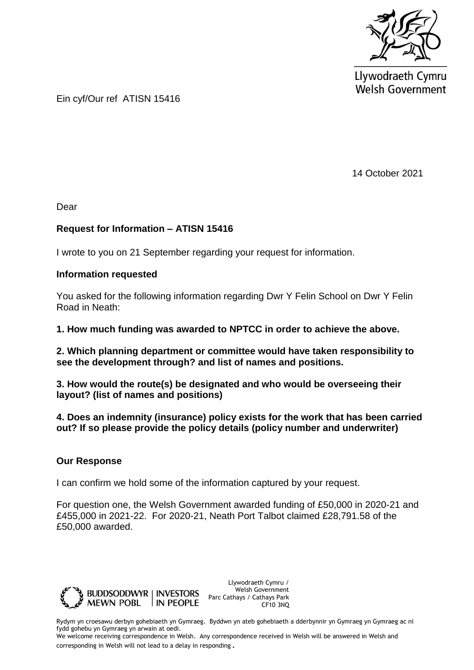

Llywodraeth Cymru **Welsh Government** 

Ein cyf/Our ref ATISN 15416

14 October 2021

Dear

## **Request for Information – ATISN 15416**

I wrote to you on 21 September regarding your request for information.

## **Information requested**

You asked for the following information regarding Dwr Y Felin School on Dwr Y Felin Road in Neath:

**1. How much funding was awarded to NPTCC in order to achieve the above.**

**2. Which planning department or committee would have taken responsibility to see the development through? and list of names and positions.**

**3. How would the route(s) be designated and who would be overseeing their layout? (list of names and positions)**

**4. Does an indemnity (insurance) policy exists for the work that has been carried out? If so please provide the policy details (policy number and underwriter)**

## **Our Response**

I can confirm we hold some of the information captured by your request.

For question one, the Welsh Government awarded funding of £50,000 in 2020-21 and £455,000 in 2021-22. For 2020-21, Neath Port Talbot claimed £28,791.58 of the £50,000 awarded.



Llywodraeth Cymru / Welsh Government Parc Cathays / Cathays Park CF10 3NQ

Rydym yn croesawu derbyn gohebiaeth yn Gymraeg. Byddwn yn ateb gohebiaeth a dderbynnir yn Gymraeg yn Gymraeg ac ni fydd gohebu yn Gymraeg yn arwain at oedi.

We welcome receiving correspondence in Welsh. Any correspondence received in Welsh will be answered in Welsh and corresponding in Welsh will not lead to a delay in responding.